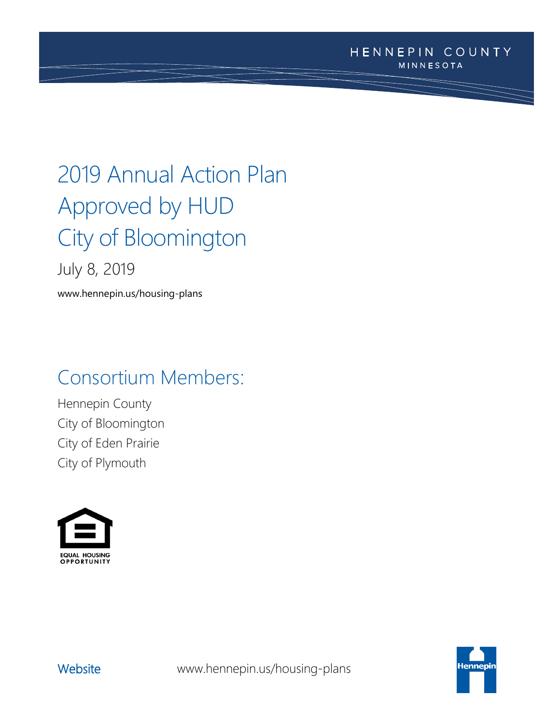# 2019 Annual Action Plan Approved by HUD City of Bloomington

July 8, 2019

www.hennepin.us/housing-plans

## Consortium Members:

Hennepin County City of Bloomington City of Eden Prairie City of Plymouth





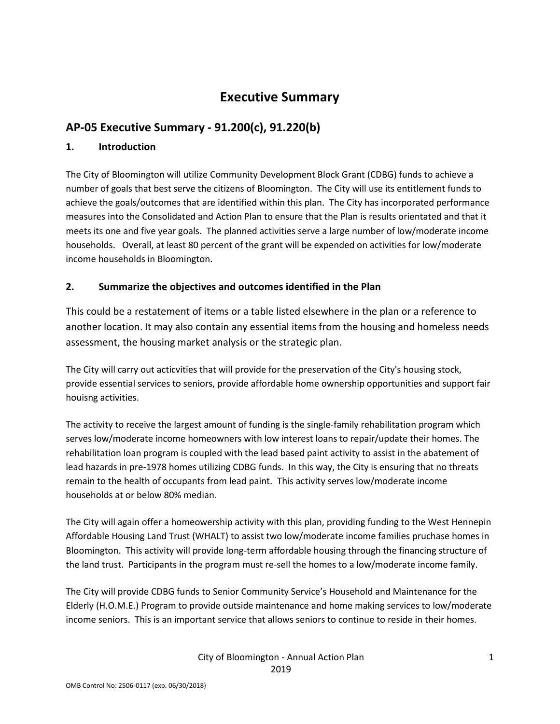## **Executive Summary**

## **AP-05 Executive Summary - 91.200(c), 91.220(b)**

#### **1. Introduction**

The City of Bloomington will utilize Community Development Block Grant (CDBG) funds to achieve a number of goals that best serve the citizens of Bloomington. The City will use its entitlement funds to achieve the goals/outcomes that are identified within this plan. The City has incorporated performance measures into the Consolidated and Action Plan to ensure that the Plan is results orientated and that it meets its one and five year goals. The planned activities serve a large number of low/moderate income households. Overall, at least 80 percent of the grant will be expended on activities for low/moderate income households in Bloomington.

## **2. Summarize the objectives and outcomes identified in the Plan**

This could be a restatement of items or a table listed elsewhere in the plan or a reference to another location. It may also contain any essential items from the housing and homeless needs assessment, the housing market analysis or the strategic plan.

The City will carry out acticvities that will provide for the preservation of the City's housing stock, provide essential services to seniors, provide affordable home ownership opportunities and support fair houisng activities.

The activity to receive the largest amount of funding is the single-family rehabilitation program which serves low/moderate income homeowners with low interest loans to repair/update their homes. The rehabilitation loan program is coupled with the lead based paint activity to assist in the abatement of lead hazards in pre-1978 homes utilizing CDBG funds. In this way, the City is ensuring that no threats remain to the health of occupants from lead paint. This activity serves low/moderate income households at or below 80% median.

The City will again offer a homeowership activity with this plan, providing funding to the West Hennepin Affordable Housing Land Trust (WHALT) to assist two low/moderate income families pruchase homes in Bloomington. This activity will provide long-term affordable housing through the financing structure of the land trust. Participants in the program must re-sell the homes to a low/moderate income family.

The City will provide CDBG funds to Senior Community Service's Household and Maintenance for the Elderly (H.O.M.E.) Program to provide outside maintenance and home making services to low/moderate income seniors. This is an important service that allows seniors to continue to reside in their homes.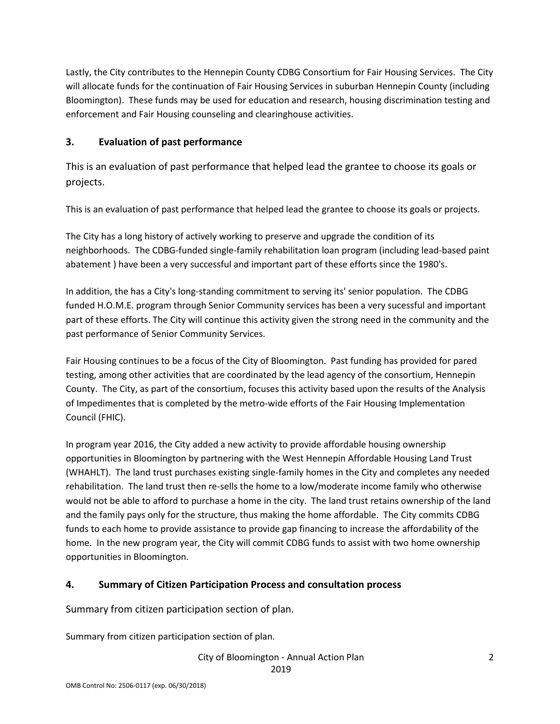Lastly, the City contributes to the Hennepin County CDBG Consortium for Fair Housing Services. The City will allocate funds for the continuation of Fair Housing Services in suburban Hennepin County (including Bloomington). These funds may be used for education and research, housing discrimination testing and enforcement and Fair Housing counseling and clearinghouse activities.

## **3. Evaluation of past performance**

This is an evaluation of past performance that helped lead the grantee to choose its goals or projects.

This is an evaluation of past performance that helped lead the grantee to choose its goals or projects.

The City has a long history of actively working to preserve and upgrade the condition of its neighborhoods. The CDBG-funded single-family rehabilitation loan program (including lead-based paint abatement ) have been a very successful and important part of these efforts since the 1980's.

In addition, the has a City's long-standing commitment to serving its' senior population. The CDBG funded H.O.M.E. program through Senior Community services has been a very sucessful and important part of these efforts. The City will continue this activity given the strong need in the community and the past performance of Senior Community Services.

Fair Housing continues to be a focus of the City of Bloomington. Past funding has provided for pared testing, among other activities that are coordinated by the lead agency of the consortium, Hennepin County. The City, as part of the consortium, focuses this activity based upon the results of the Analysis of Impedimentes that is completed by the metro-wide efforts of the Fair Housing Implementation Council (FHIC).

In program year 2016, the City added a new activity to provide affordable housing ownership opportunities in Bloomington by partnering with the West Hennepin Affordable Housing Land Trust (WHAHLT). The land trust purchases existing single-family homes in the City and completes any needed rehabilitation. The land trust then re-sells the home to a low/moderate income family who otherwise would not be able to afford to purchase a home in the city. The land trust retains ownership of the land and the family pays only for the structure, thus making the home affordable. The City commits CDBG funds to each home to provide assistance to provide gap financing to increase the affordability of the home. In the new program year, the City will commit CDBG funds to assist with two home ownership opportunities in Bloomington.

## **4. Summary of Citizen Participation Process and consultation process**

Summary from citizen participation section of plan.

Summary from citizen participation section of plan.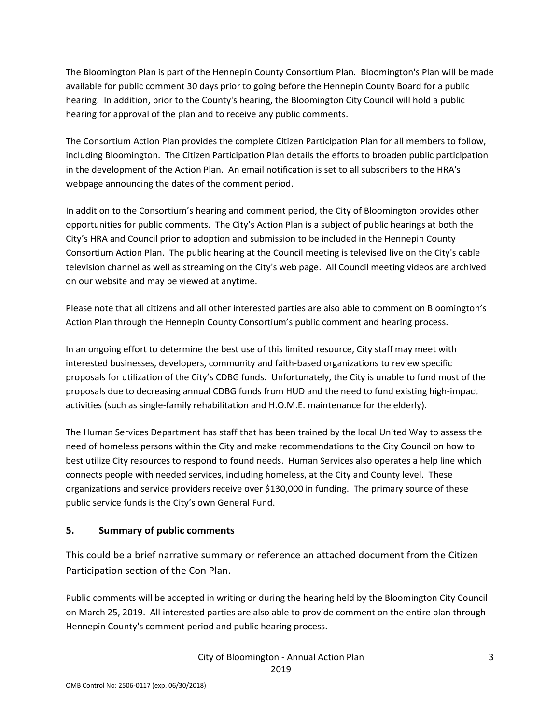The Bloomington Plan is part of the Hennepin County Consortium Plan. Bloomington's Plan will be made available for public comment 30 days prior to going before the Hennepin County Board for a public hearing. In addition, prior to the County's hearing, the Bloomington City Council will hold a public hearing for approval of the plan and to receive any public comments.

The Consortium Action Plan provides the complete Citizen Participation Plan for all members to follow, including Bloomington. The Citizen Participation Plan details the efforts to broaden public participation in the development of the Action Plan. An email notification is set to all subscribers to the HRA's webpage announcing the dates of the comment period.

In addition to the Consortium's hearing and comment period, the City of Bloomington provides other opportunities for public comments. The City's Action Plan is a subject of public hearings at both the City's HRA and Council prior to adoption and submission to be included in the Hennepin County Consortium Action Plan. The public hearing at the Council meeting is televised live on the City's cable television channel as well as streaming on the City's web page. All Council meeting videos are archived on our website and may be viewed at anytime.

Please note that all citizens and all other interested parties are also able to comment on Bloomington's Action Plan through the Hennepin County Consortium's public comment and hearing process.

In an ongoing effort to determine the best use of this limited resource, City staff may meet with interested businesses, developers, community and faith-based organizations to review specific proposals for utilization of the City's CDBG funds. Unfortunately, the City is unable to fund most of the proposals due to decreasing annual CDBG funds from HUD and the need to fund existing high-impact activities (such as single-family rehabilitation and H.O.M.E. maintenance for the elderly).

The Human Services Department has staff that has been trained by the local United Way to assess the need of homeless persons within the City and make recommendations to the City Council on how to best utilize City resources to respond to found needs. Human Services also operates a help line which connects people with needed services, including homeless, at the City and County level. These organizations and service providers receive over \$130,000 in funding. The primary source of these public service funds is the City's own General Fund.

## **5. Summary of public comments**

This could be a brief narrative summary or reference an attached document from the Citizen Participation section of the Con Plan.

Public comments will be accepted in writing or during the hearing held by the Bloomington City Council on March 25, 2019. All interested parties are also able to provide comment on the entire plan through Hennepin County's comment period and public hearing process.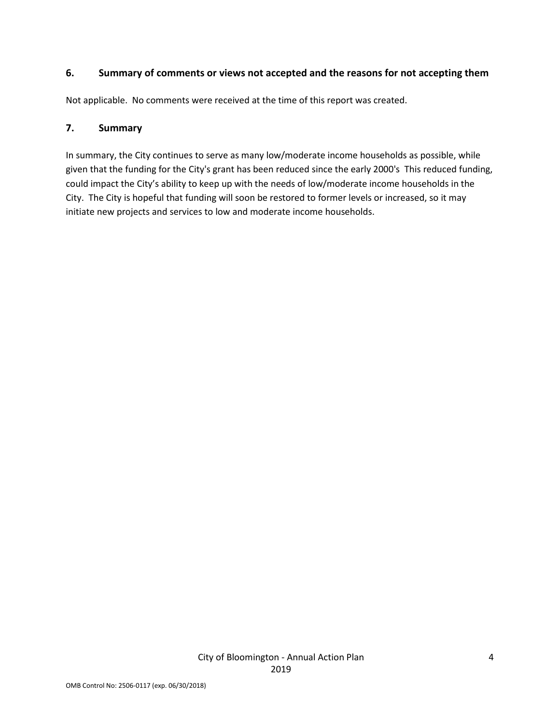#### **6. Summary of comments or views not accepted and the reasons for not accepting them**

Not applicable. No comments were received at the time of this report was created.

#### **7. Summary**

In summary, the City continues to serve as many low/moderate income households as possible, while given that the funding for the City's grant has been reduced since the early 2000's This reduced funding, could impact the City's ability to keep up with the needs of low/moderate income households in the City. The City is hopeful that funding will soon be restored to former levels or increased, so it may initiate new projects and services to low and moderate income households.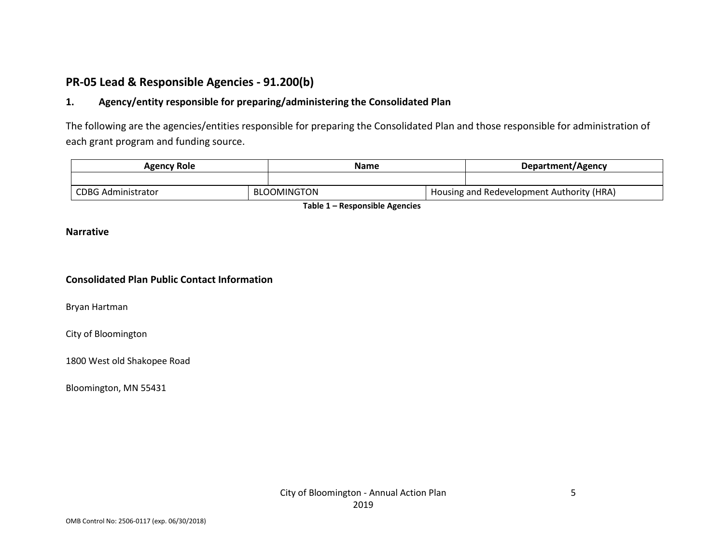## **PR-05 Lead & Responsible Agencies - 91.200(b)**

## **1. Agency/entity responsible for preparing/administering the Consolidated Plan**

The following are the agencies/entities responsible for preparing the Consolidated Plan and those responsible for administration of each grant program and funding source.

|  | Agency Role               |  | Name        |  | Department/Agency                         |  |
|--|---------------------------|--|-------------|--|-------------------------------------------|--|
|  |                           |  |             |  |                                           |  |
|  | <b>CDBG Administrator</b> |  | BLOOMINGTON |  | Housing and Redevelopment Authority (HRA) |  |

**Table 1 – Responsible Agencies**

#### **Narrative**

#### **Consolidated Plan Public Contact Information**

Bryan Hartman

City of Bloomington

1800 West old Shakopee Road

Bloomington, MN 55431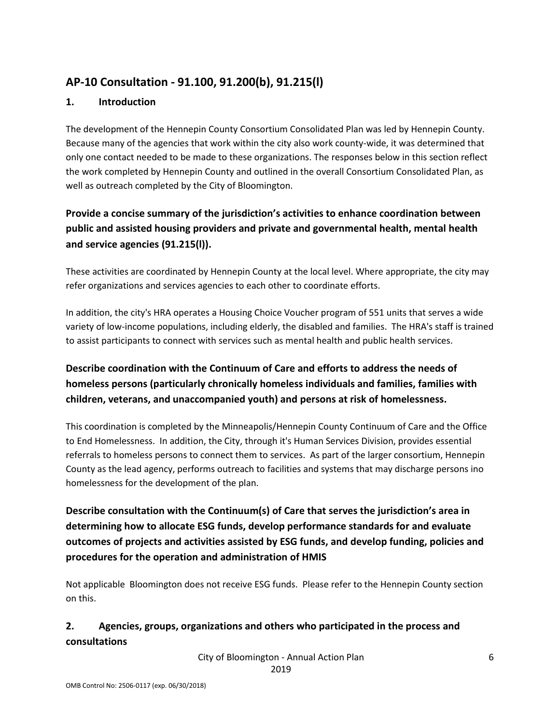## **AP-10 Consultation - 91.100, 91.200(b), 91.215(l)**

## **1. Introduction**

The development of the Hennepin County Consortium Consolidated Plan was led by Hennepin County. Because many of the agencies that work within the city also work county-wide, it was determined that only one contact needed to be made to these organizations. The responses below in this section reflect the work completed by Hennepin County and outlined in the overall Consortium Consolidated Plan, as well as outreach completed by the City of Bloomington.

## **Provide a concise summary of the jurisdiction's activities to enhance coordination between public and assisted housing providers and private and governmental health, mental health and service agencies (91.215(l)).**

These activities are coordinated by Hennepin County at the local level. Where appropriate, the city may refer organizations and services agencies to each other to coordinate efforts.

In addition, the city's HRA operates a Housing Choice Voucher program of 551 units that serves a wide variety of low-income populations, including elderly, the disabled and families. The HRA's staff is trained to assist participants to connect with services such as mental health and public health services.

## **Describe coordination with the Continuum of Care and efforts to address the needs of homeless persons (particularly chronically homeless individuals and families, families with children, veterans, and unaccompanied youth) and persons at risk of homelessness.**

This coordination is completed by the Minneapolis/Hennepin County Continuum of Care and the Office to End Homelessness. In addition, the City, through it's Human Services Division, provides essential referrals to homeless persons to connect them to services. As part of the larger consortium, Hennepin County as the lead agency, performs outreach to facilities and systems that may discharge persons ino homelessness for the development of the plan.

**Describe consultation with the Continuum(s) of Care that serves the jurisdiction's area in determining how to allocate ESG funds, develop performance standards for and evaluate outcomes of projects and activities assisted by ESG funds, and develop funding, policies and procedures for the operation and administration of HMIS**

Not applicable Bloomington does not receive ESG funds. Please refer to the Hennepin County section on this.

## **2. Agencies, groups, organizations and others who participated in the process and consultations**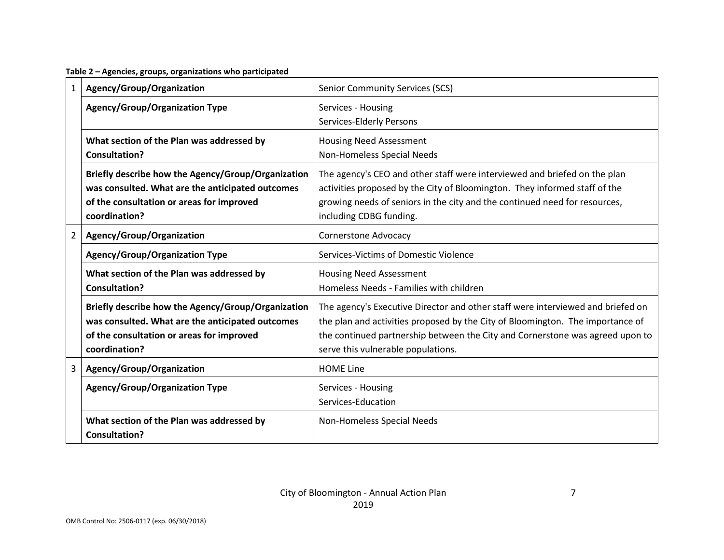**Table 2 – Agencies, groups, organizations who participated**

| 1              | Agency/Group/Organization                                                                                                                                            | <b>Senior Community Services (SCS)</b>                                                                                                                                                                                                                                                   |  |  |  |
|----------------|----------------------------------------------------------------------------------------------------------------------------------------------------------------------|------------------------------------------------------------------------------------------------------------------------------------------------------------------------------------------------------------------------------------------------------------------------------------------|--|--|--|
|                | Agency/Group/Organization Type                                                                                                                                       | Services - Housing<br>Services-Elderly Persons                                                                                                                                                                                                                                           |  |  |  |
|                | What section of the Plan was addressed by<br><b>Consultation?</b>                                                                                                    | <b>Housing Need Assessment</b><br>Non-Homeless Special Needs                                                                                                                                                                                                                             |  |  |  |
|                | Briefly describe how the Agency/Group/Organization<br>was consulted. What are the anticipated outcomes<br>of the consultation or areas for improved<br>coordination? | The agency's CEO and other staff were interviewed and briefed on the plan<br>activities proposed by the City of Bloomington. They informed staff of the<br>growing needs of seniors in the city and the continued need for resources,<br>including CDBG funding.                         |  |  |  |
| $\overline{2}$ | Agency/Group/Organization                                                                                                                                            | Cornerstone Advocacy                                                                                                                                                                                                                                                                     |  |  |  |
|                | <b>Agency/Group/Organization Type</b>                                                                                                                                | Services-Victims of Domestic Violence                                                                                                                                                                                                                                                    |  |  |  |
|                | What section of the Plan was addressed by<br>Consultation?                                                                                                           | <b>Housing Need Assessment</b><br>Homeless Needs - Families with children                                                                                                                                                                                                                |  |  |  |
|                | Briefly describe how the Agency/Group/Organization<br>was consulted. What are the anticipated outcomes<br>of the consultation or areas for improved<br>coordination? | The agency's Executive Director and other staff were interviewed and briefed on<br>the plan and activities proposed by the City of Bloomington. The importance of<br>the continued partnership between the City and Cornerstone was agreed upon to<br>serve this vulnerable populations. |  |  |  |
| 3              | Agency/Group/Organization                                                                                                                                            | <b>HOME Line</b>                                                                                                                                                                                                                                                                         |  |  |  |
|                | <b>Agency/Group/Organization Type</b>                                                                                                                                | Services - Housing<br>Services-Education                                                                                                                                                                                                                                                 |  |  |  |
|                | What section of the Plan was addressed by<br><b>Consultation?</b>                                                                                                    | Non-Homeless Special Needs                                                                                                                                                                                                                                                               |  |  |  |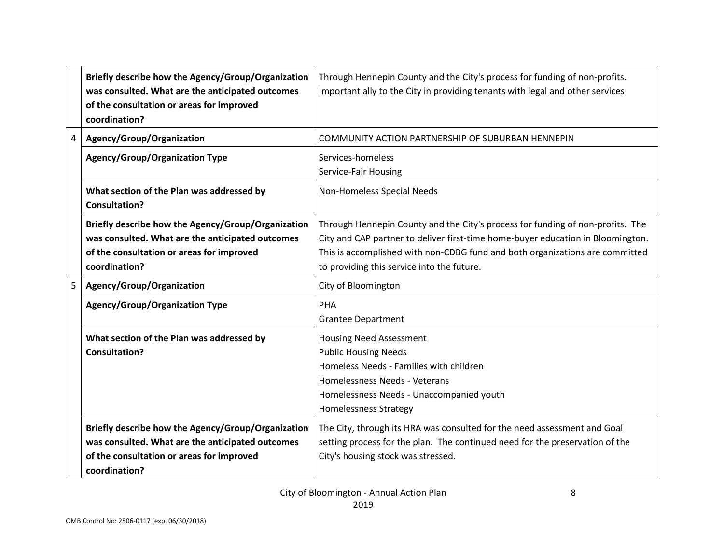|   | Briefly describe how the Agency/Group/Organization<br>was consulted. What are the anticipated outcomes<br>of the consultation or areas for improved<br>coordination? | Through Hennepin County and the City's process for funding of non-profits.<br>Important ally to the City in providing tenants with legal and other services                                                                                                                                     |  |  |
|---|----------------------------------------------------------------------------------------------------------------------------------------------------------------------|-------------------------------------------------------------------------------------------------------------------------------------------------------------------------------------------------------------------------------------------------------------------------------------------------|--|--|
| 4 | Agency/Group/Organization                                                                                                                                            | COMMUNITY ACTION PARTNERSHIP OF SUBURBAN HENNEPIN                                                                                                                                                                                                                                               |  |  |
|   | <b>Agency/Group/Organization Type</b>                                                                                                                                | Services-homeless<br>Service-Fair Housing                                                                                                                                                                                                                                                       |  |  |
|   | What section of the Plan was addressed by<br><b>Consultation?</b>                                                                                                    | Non-Homeless Special Needs                                                                                                                                                                                                                                                                      |  |  |
|   | Briefly describe how the Agency/Group/Organization<br>was consulted. What are the anticipated outcomes<br>of the consultation or areas for improved<br>coordination? | Through Hennepin County and the City's process for funding of non-profits. The<br>City and CAP partner to deliver first-time home-buyer education in Bloomington.<br>This is accomplished with non-CDBG fund and both organizations are committed<br>to providing this service into the future. |  |  |
| 5 | Agency/Group/Organization                                                                                                                                            | City of Bloomington                                                                                                                                                                                                                                                                             |  |  |
|   | <b>Agency/Group/Organization Type</b>                                                                                                                                | PHA<br><b>Grantee Department</b>                                                                                                                                                                                                                                                                |  |  |
|   | What section of the Plan was addressed by<br><b>Consultation?</b>                                                                                                    | <b>Housing Need Assessment</b><br><b>Public Housing Needs</b><br>Homeless Needs - Families with children<br>Homelessness Needs - Veterans<br>Homelessness Needs - Unaccompanied youth<br><b>Homelessness Strategy</b>                                                                           |  |  |
|   | Briefly describe how the Agency/Group/Organization<br>was consulted. What are the anticipated outcomes<br>of the consultation or areas for improved<br>coordination? | The City, through its HRA was consulted for the need assessment and Goal<br>setting process for the plan. The continued need for the preservation of the<br>City's housing stock was stressed.                                                                                                  |  |  |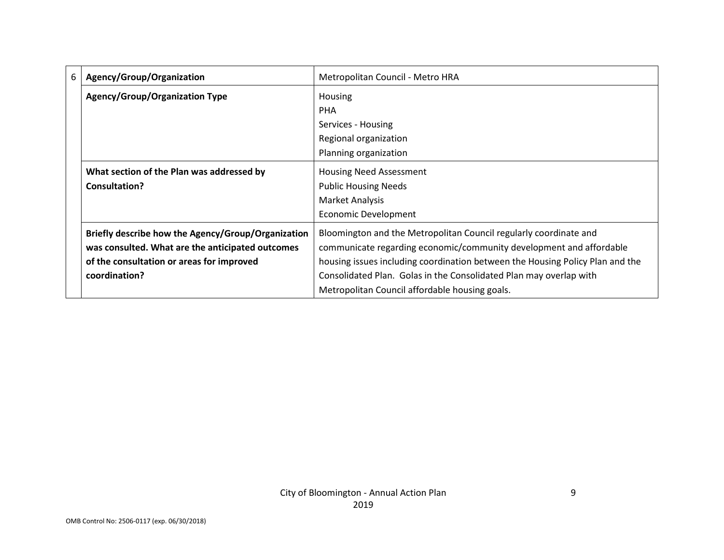| 6 | Agency/Group/Organization                          | Metropolitan Council - Metro HRA                                              |  |  |
|---|----------------------------------------------------|-------------------------------------------------------------------------------|--|--|
|   | <b>Agency/Group/Organization Type</b>              | Housing                                                                       |  |  |
|   |                                                    | <b>PHA</b>                                                                    |  |  |
|   |                                                    | Services - Housing                                                            |  |  |
|   |                                                    | Regional organization                                                         |  |  |
|   |                                                    | Planning organization                                                         |  |  |
|   | What section of the Plan was addressed by          | <b>Housing Need Assessment</b>                                                |  |  |
|   | Consultation?                                      | <b>Public Housing Needs</b>                                                   |  |  |
|   |                                                    | Market Analysis                                                               |  |  |
|   |                                                    | Economic Development                                                          |  |  |
|   | Briefly describe how the Agency/Group/Organization | Bloomington and the Metropolitan Council regularly coordinate and             |  |  |
|   | was consulted. What are the anticipated outcomes   | communicate regarding economic/community development and affordable           |  |  |
|   | of the consultation or areas for improved          | housing issues including coordination between the Housing Policy Plan and the |  |  |
|   | coordination?                                      | Consolidated Plan. Golas in the Consolidated Plan may overlap with            |  |  |
|   |                                                    | Metropolitan Council affordable housing goals.                                |  |  |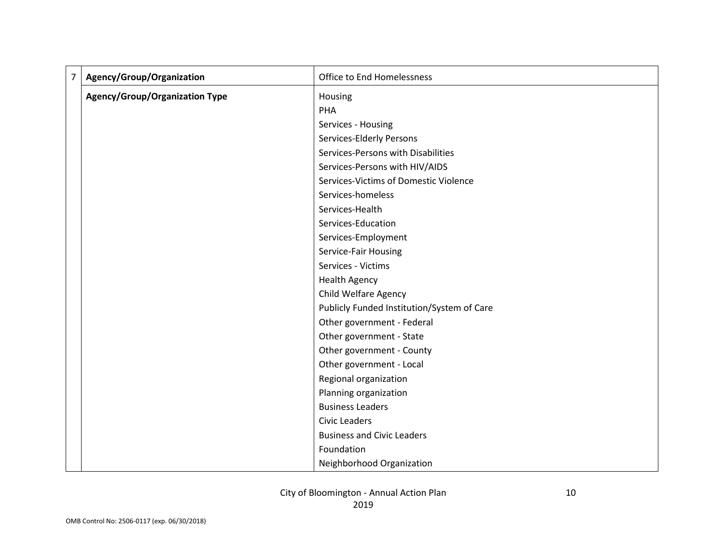| $\overline{7}$ | Agency/Group/Organization      | Office to End Homelessness                 |
|----------------|--------------------------------|--------------------------------------------|
|                | Agency/Group/Organization Type | Housing                                    |
|                |                                | PHA                                        |
|                |                                | Services - Housing                         |
|                |                                | Services-Elderly Persons                   |
|                |                                | Services-Persons with Disabilities         |
|                |                                | Services-Persons with HIV/AIDS             |
|                |                                | Services-Victims of Domestic Violence      |
|                |                                | Services-homeless                          |
|                |                                | Services-Health                            |
|                |                                | Services-Education                         |
|                |                                | Services-Employment                        |
|                |                                | Service-Fair Housing                       |
|                |                                | Services - Victims                         |
|                |                                | <b>Health Agency</b>                       |
|                |                                | Child Welfare Agency                       |
|                |                                | Publicly Funded Institution/System of Care |
|                |                                | Other government - Federal                 |
|                |                                | Other government - State                   |
|                |                                | Other government - County                  |
|                |                                | Other government - Local                   |
|                |                                | Regional organization                      |
|                |                                | Planning organization                      |
|                |                                | <b>Business Leaders</b>                    |
|                |                                | <b>Civic Leaders</b>                       |
|                |                                | <b>Business and Civic Leaders</b>          |
|                |                                | Foundation                                 |
|                |                                | Neighborhood Organization                  |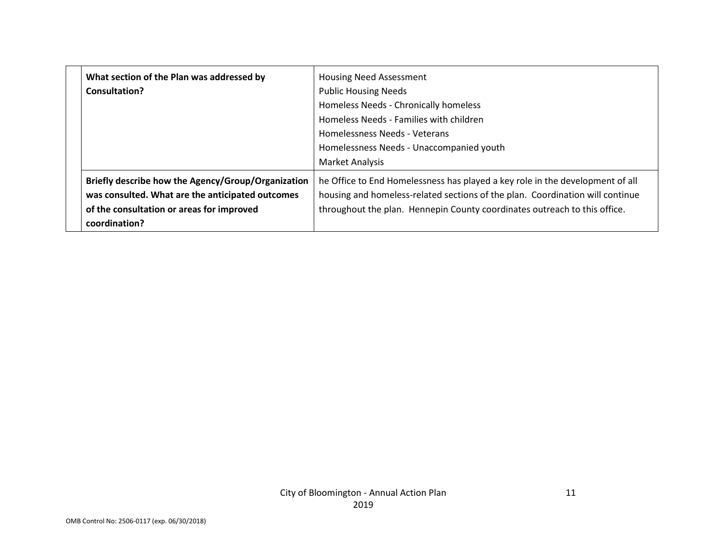| What section of the Plan was addressed by<br>Consultation?                                                                                                           | <b>Housing Need Assessment</b><br><b>Public Housing Needs</b><br>Homeless Needs - Chronically homeless<br>Homeless Needs - Families with children<br>Homelessness Needs - Veterans<br>Homelessness Needs - Unaccompanied youth<br>Market Analysis |
|----------------------------------------------------------------------------------------------------------------------------------------------------------------------|---------------------------------------------------------------------------------------------------------------------------------------------------------------------------------------------------------------------------------------------------|
| Briefly describe how the Agency/Group/Organization<br>was consulted. What are the anticipated outcomes<br>of the consultation or areas for improved<br>coordination? | he Office to End Homelessness has played a key role in the development of all<br>housing and homeless-related sections of the plan. Coordination will continue<br>throughout the plan. Hennepin County coordinates outreach to this office.       |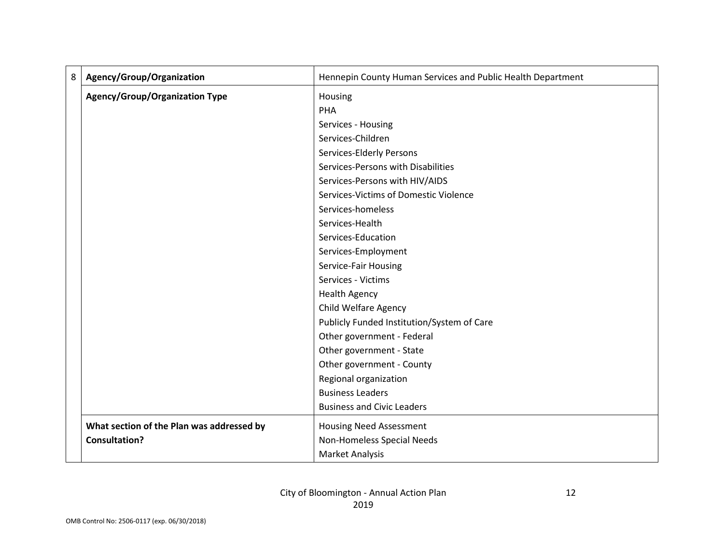| 8 | Agency/Group/Organization                 | Hennepin County Human Services and Public Health Department |
|---|-------------------------------------------|-------------------------------------------------------------|
|   | <b>Agency/Group/Organization Type</b>     | Housing                                                     |
|   |                                           | PHA                                                         |
|   |                                           | Services - Housing                                          |
|   |                                           | Services-Children                                           |
|   |                                           | Services-Elderly Persons                                    |
|   |                                           | Services-Persons with Disabilities                          |
|   |                                           | Services-Persons with HIV/AIDS                              |
|   |                                           | Services-Victims of Domestic Violence                       |
|   |                                           | Services-homeless                                           |
|   |                                           | Services-Health                                             |
|   |                                           | Services-Education                                          |
|   |                                           | Services-Employment                                         |
|   |                                           | Service-Fair Housing                                        |
|   |                                           | Services - Victims                                          |
|   |                                           | <b>Health Agency</b>                                        |
|   |                                           | <b>Child Welfare Agency</b>                                 |
|   |                                           | Publicly Funded Institution/System of Care                  |
|   |                                           | Other government - Federal                                  |
|   |                                           | Other government - State                                    |
|   |                                           | Other government - County                                   |
|   |                                           | Regional organization                                       |
|   |                                           | <b>Business Leaders</b>                                     |
|   |                                           | <b>Business and Civic Leaders</b>                           |
|   | What section of the Plan was addressed by | <b>Housing Need Assessment</b>                              |
|   | <b>Consultation?</b>                      | Non-Homeless Special Needs                                  |
|   |                                           | <b>Market Analysis</b>                                      |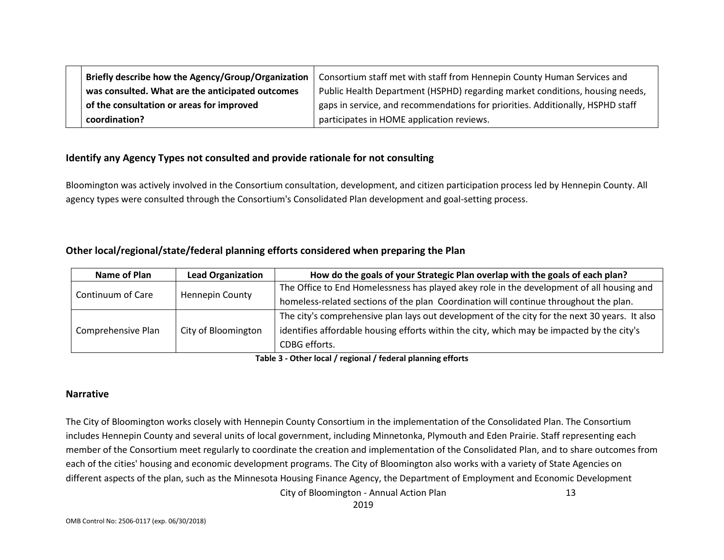| Briefly describe how the Agency/Group/Organization | Consortium staff met with staff from Hennepin County Human Services and        |
|----------------------------------------------------|--------------------------------------------------------------------------------|
| was consulted. What are the anticipated outcomes   | Public Health Department (HSPHD) regarding market conditions, housing needs,   |
| of the consultation or areas for improved          | gaps in service, and recommendations for priorities. Additionally, HSPHD staff |
| coordination?                                      | participates in HOME application reviews.                                      |

#### **Identify any Agency Types not consulted and provide rationale for not consulting**

Bloomington was actively involved in the Consortium consultation, development, and citizen participation process led by Hennepin County. All agency types were consulted through the Consortium's Consolidated Plan development and goal-setting process.

#### **Other local/regional/state/federal planning efforts considered when preparing the Plan**

| Name of Plan       | <b>Lead Organization</b> | How do the goals of your Strategic Plan overlap with the goals of each plan?                  |
|--------------------|--------------------------|-----------------------------------------------------------------------------------------------|
| Continuum of Care  |                          | The Office to End Homelessness has played akey role in the development of all housing and     |
|                    | <b>Hennepin County</b>   | homeless-related sections of the plan Coordination will continue throughout the plan.         |
|                    | City of Bloomington      | The city's comprehensive plan lays out development of the city for the next 30 years. It also |
| Comprehensive Plan |                          | identifies affordable housing efforts within the city, which may be impacted by the city's    |
|                    |                          | CDBG efforts.                                                                                 |

**Table 3 - Other local / regional / federal planning efforts**

#### **Narrative**

The City of Bloomington works closely with Hennepin County Consortium in the implementation of the Consolidated Plan. The Consortium includes Hennepin County and several units of local government, including Minnetonka, Plymouth and Eden Prairie. Staff representing each member of the Consortium meet regularly to coordinate the creation and implementation of the Consolidated Plan, and to share outcomes from each of the cities' housing and economic development programs. The City of Bloomington also works with a variety of State Agencies on different aspects of the plan, such as the Minnesota Housing Finance Agency, the Department of Employment and Economic Development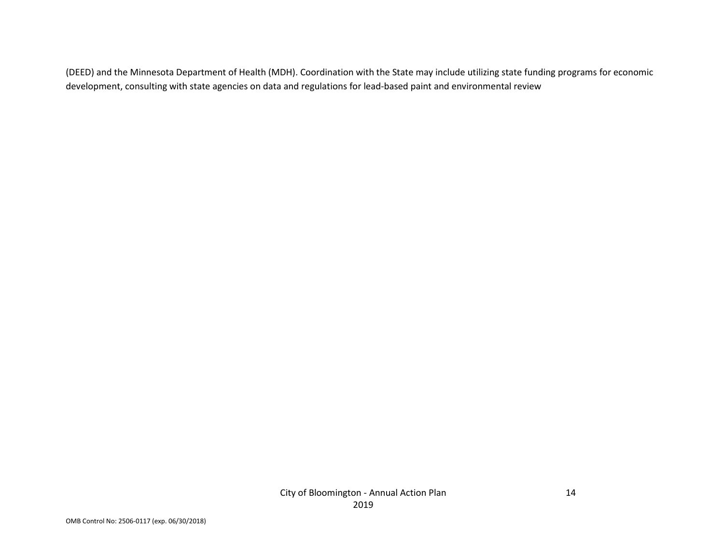(DEED) and the Minnesota Department of Health (MDH). Coordination with the State may include utilizing state funding programs for economic development, consulting with state agencies on data and regulations for lead-based paint and environmental review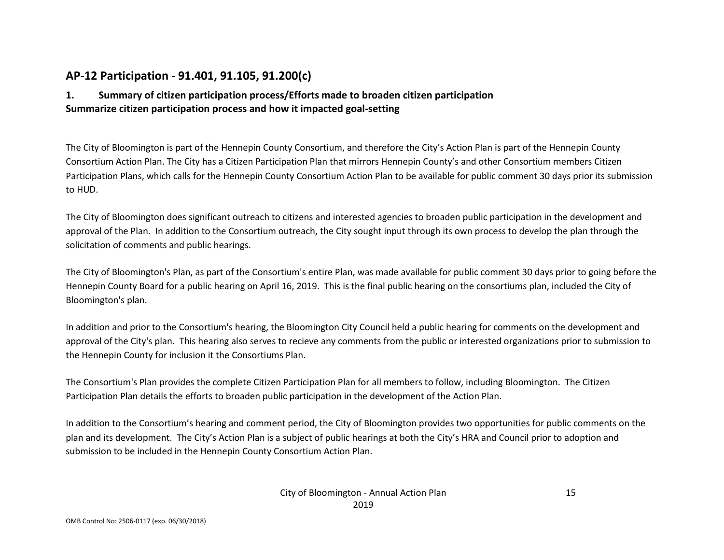## **AP-12 Participation - 91.401, 91.105, 91.200(c)**

## **1. Summary of citizen participation process/Efforts made to broaden citizen participation Summarize citizen participation process and how it impacted goal-setting**

The City of Bloomington is part of the Hennepin County Consortium, and therefore the City's Action Plan is part of the Hennepin County Consortium Action Plan. The City has a Citizen Participation Plan that mirrors Hennepin County's and other Consortium members Citizen Participation Plans, which calls for the Hennepin County Consortium Action Plan to be available for public comment 30 days prior its submission to HUD.

The City of Bloomington does significant outreach to citizens and interested agencies to broaden public participation in the development and approval of the Plan. In addition to the Consortium outreach, the City sought input through its own process to develop the plan through the solicitation of comments and public hearings.

The City of Bloomington's Plan, as part of the Consortium's entire Plan, was made available for public comment 30 days prior to going before the Hennepin County Board for a public hearing on April 16, 2019. This is the final public hearing on the consortiums plan, included the City of Bloomington's plan.

In addition and prior to the Consortium's hearing, the Bloomington City Council held a public hearing for comments on the development and approval of the City's plan. This hearing also serves to recieve any comments from the public or interested organizations prior to submission to the Hennepin County for inclusion it the Consortiums Plan.

The Consortium's Plan provides the complete Citizen Participation Plan for all members to follow, including Bloomington. The Citizen Participation Plan details the efforts to broaden public participation in the development of the Action Plan.

In addition to the Consortium's hearing and comment period, the City of Bloomington provides two opportunities for public comments on the plan and its development. The City's Action Plan is a subject of public hearings at both the City's HRA and Council prior to adoption and submission to be included in the Hennepin County Consortium Action Plan.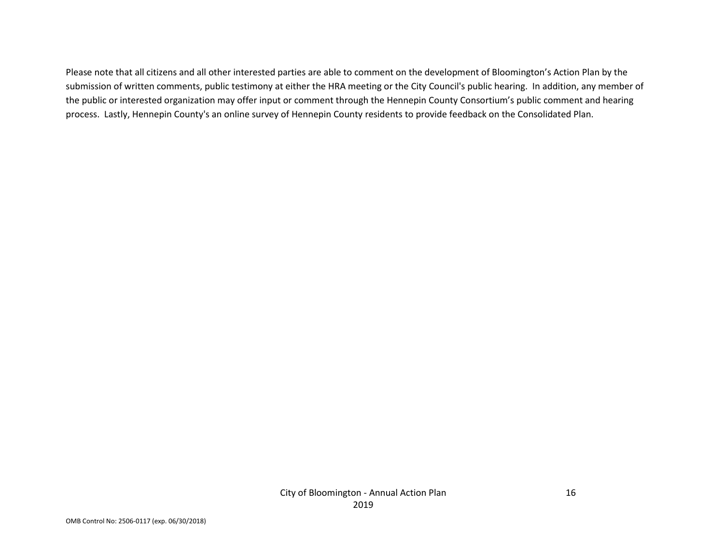Please note that all citizens and all other interested parties are able to comment on the development of Bloomington's Action Plan by the submission of written comments, public testimony at either the HRA meeting or the City Council's public hearing. In addition, any member of the public or interested organization may offer input or comment through the Hennepin County Consortium's public comment and hearing process. Lastly, Hennepin County's an online survey of Hennepin County residents to provide feedback on the Consolidated Plan.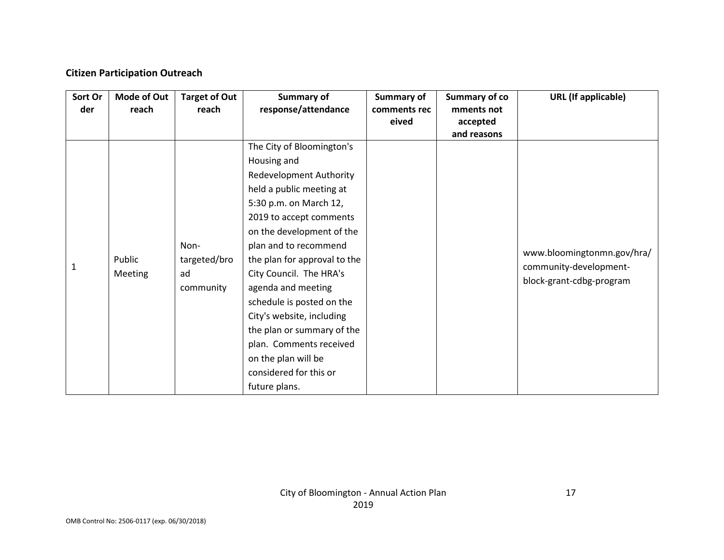## **Citizen Participation Outreach**

| Sort Or<br>der | Mode of Out<br>reach | <b>Target of Out</b><br>reach           | Summary of<br>response/attendance                                                                                                                                                                                                                                                                                                                                                                                                                                                       | Summary of<br>comments rec | <b>Summary of co</b><br>mments not | <b>URL</b> (If applicable)                                                       |
|----------------|----------------------|-----------------------------------------|-----------------------------------------------------------------------------------------------------------------------------------------------------------------------------------------------------------------------------------------------------------------------------------------------------------------------------------------------------------------------------------------------------------------------------------------------------------------------------------------|----------------------------|------------------------------------|----------------------------------------------------------------------------------|
|                |                      |                                         |                                                                                                                                                                                                                                                                                                                                                                                                                                                                                         | eived                      | accepted<br>and reasons            |                                                                                  |
| 1              | Public<br>Meeting    | Non-<br>targeted/bro<br>ad<br>community | The City of Bloomington's<br>Housing and<br><b>Redevelopment Authority</b><br>held a public meeting at<br>5:30 p.m. on March 12,<br>2019 to accept comments<br>on the development of the<br>plan and to recommend<br>the plan for approval to the<br>City Council. The HRA's<br>agenda and meeting<br>schedule is posted on the<br>City's website, including<br>the plan or summary of the<br>plan. Comments received<br>on the plan will be<br>considered for this or<br>future plans. |                            |                                    | www.bloomingtonmn.gov/hra/<br>community-development-<br>block-grant-cdbg-program |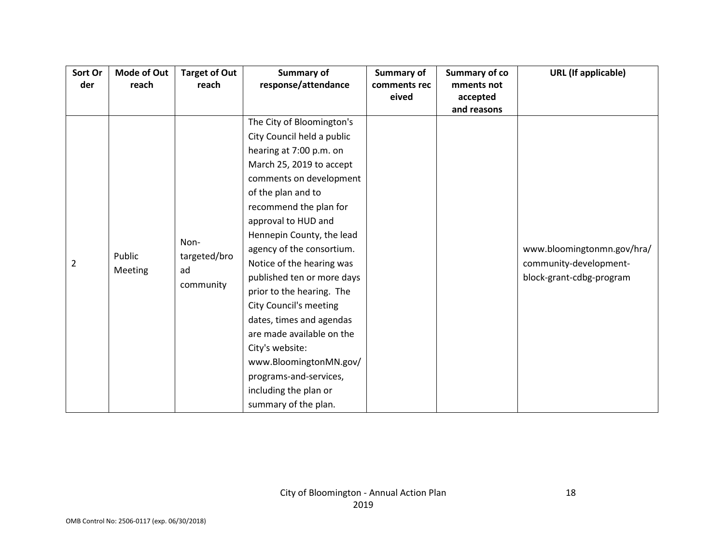| Sort Or        | <b>Mode of Out</b> | <b>Target of Out</b> | <b>Summary of</b>             | Summary of   | Summary of co | <b>URL</b> (If applicable) |
|----------------|--------------------|----------------------|-------------------------------|--------------|---------------|----------------------------|
| der            | reach              | reach                | response/attendance           | comments rec | mments not    |                            |
|                |                    |                      |                               | eived        | accepted      |                            |
|                |                    |                      |                               |              | and reasons   |                            |
|                |                    |                      | The City of Bloomington's     |              |               |                            |
|                |                    |                      | City Council held a public    |              |               |                            |
|                |                    |                      | hearing at 7:00 p.m. on       |              |               |                            |
|                |                    |                      | March 25, 2019 to accept      |              |               |                            |
|                |                    |                      | comments on development       |              |               |                            |
|                |                    |                      | of the plan and to            |              |               |                            |
|                |                    |                      | recommend the plan for        |              |               |                            |
|                |                    |                      | approval to HUD and           |              |               |                            |
|                |                    |                      | Hennepin County, the lead     |              |               |                            |
|                |                    | Non-                 | agency of the consortium.     |              |               | www.bloomingtonmn.gov/hra/ |
| $\overline{2}$ | Public             | targeted/bro         | Notice of the hearing was     |              |               | community-development-     |
|                | Meeting            | ad                   | published ten or more days    |              |               | block-grant-cdbg-program   |
|                |                    | community            | prior to the hearing. The     |              |               |                            |
|                |                    |                      | <b>City Council's meeting</b> |              |               |                            |
|                |                    |                      | dates, times and agendas      |              |               |                            |
|                |                    |                      | are made available on the     |              |               |                            |
|                |                    |                      | City's website:               |              |               |                            |
|                |                    |                      | www.BloomingtonMN.gov/        |              |               |                            |
|                |                    |                      | programs-and-services,        |              |               |                            |
|                |                    |                      | including the plan or         |              |               |                            |
|                |                    |                      | summary of the plan.          |              |               |                            |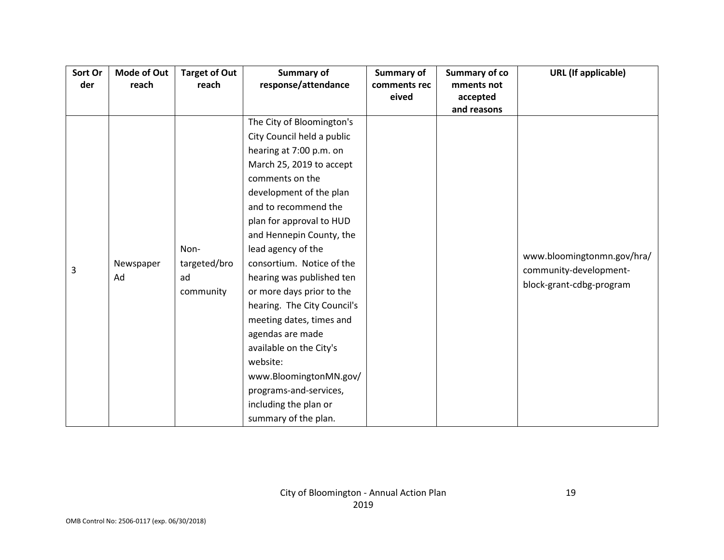| Sort Or | Mode of Out | <b>Target of Out</b> | <b>Summary of</b>           | Summary of   | <b>Summary of co</b> | <b>URL</b> (If applicable) |
|---------|-------------|----------------------|-----------------------------|--------------|----------------------|----------------------------|
| der     | reach       | reach                | response/attendance         | comments rec | mments not           |                            |
|         |             |                      |                             | eived        | accepted             |                            |
|         |             |                      |                             |              | and reasons          |                            |
|         |             |                      | The City of Bloomington's   |              |                      |                            |
|         |             |                      | City Council held a public  |              |                      |                            |
|         |             |                      | hearing at 7:00 p.m. on     |              |                      |                            |
|         |             |                      | March 25, 2019 to accept    |              |                      |                            |
|         |             |                      | comments on the             |              |                      |                            |
|         |             |                      | development of the plan     |              |                      |                            |
|         |             |                      | and to recommend the        |              |                      |                            |
|         |             |                      | plan for approval to HUD    |              |                      |                            |
|         |             |                      | and Hennepin County, the    |              |                      |                            |
|         |             | Non-                 | lead agency of the          |              |                      | www.bloomingtonmn.gov/hra/ |
| 3       | Newspaper   | targeted/bro         | consortium. Notice of the   |              |                      | community-development-     |
|         | Ad          | ad                   | hearing was published ten   |              |                      | block-grant-cdbg-program   |
|         |             | community            | or more days prior to the   |              |                      |                            |
|         |             |                      | hearing. The City Council's |              |                      |                            |
|         |             |                      | meeting dates, times and    |              |                      |                            |
|         |             |                      | agendas are made            |              |                      |                            |
|         |             |                      | available on the City's     |              |                      |                            |
|         |             |                      | website:                    |              |                      |                            |
|         |             |                      | www.BloomingtonMN.gov/      |              |                      |                            |
|         |             |                      | programs-and-services,      |              |                      |                            |
|         |             |                      | including the plan or       |              |                      |                            |
|         |             |                      | summary of the plan.        |              |                      |                            |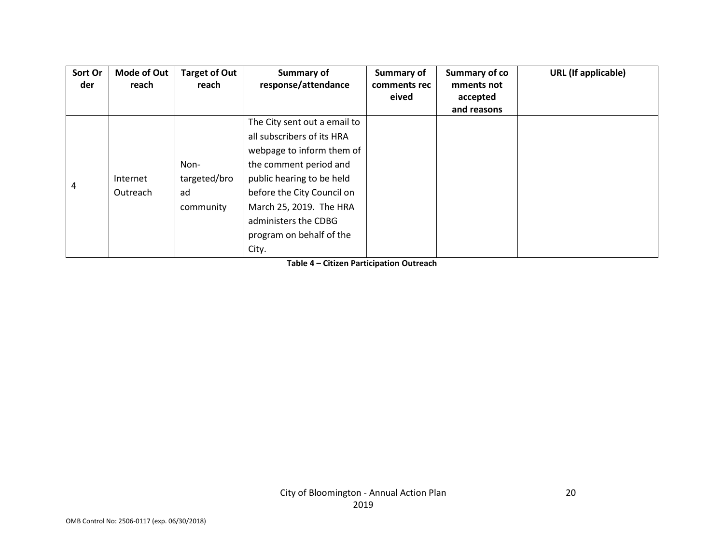| Sort Or | Mode of Out | <b>Target of Out</b> | Summary of                   | Summary of   | Summary of co | <b>URL</b> (If applicable) |
|---------|-------------|----------------------|------------------------------|--------------|---------------|----------------------------|
| der     | reach       | reach                | response/attendance          | comments rec | mments not    |                            |
|         |             |                      |                              | eived        | accepted      |                            |
|         |             |                      |                              |              | and reasons   |                            |
|         |             |                      | The City sent out a email to |              |               |                            |
|         |             |                      | all subscribers of its HRA   |              |               |                            |
|         |             |                      | webpage to inform them of    |              |               |                            |
|         |             | Non-                 | the comment period and       |              |               |                            |
| 4       | Internet    | targeted/bro         | public hearing to be held    |              |               |                            |
|         | Outreach    | ad                   | before the City Council on   |              |               |                            |
|         |             | community            | March 25, 2019. The HRA      |              |               |                            |
|         |             |                      | administers the CDBG         |              |               |                            |
|         |             |                      | program on behalf of the     |              |               |                            |
|         |             |                      | City.                        |              |               |                            |

**Table 4 – Citizen Participation Outreach**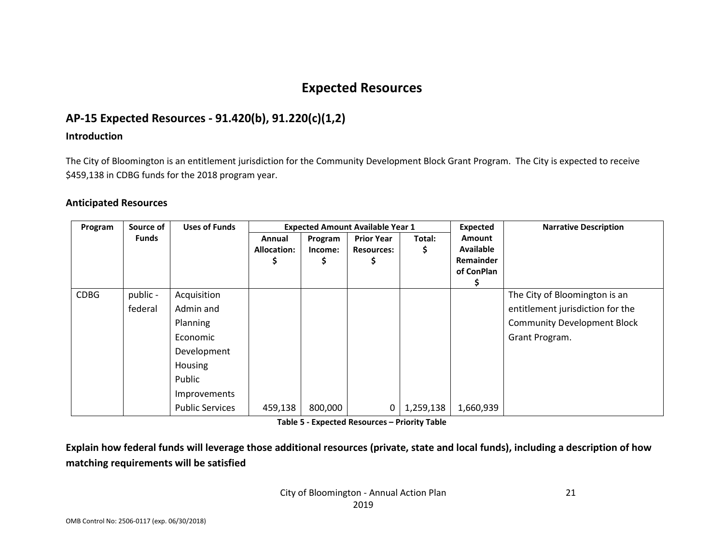## **Expected Resources**

## **AP-15 Expected Resources - 91.420(b), 91.220(c)(1,2)**

#### **Introduction**

The City of Bloomington is an entitlement jurisdiction for the Community Development Block Grant Program. The City is expected to receive \$459,138 in CDBG funds for the 2018 program year.

#### **Anticipated Resources**

| Program     | Source of | <b>Uses of Funds</b>   | <b>Expected Amount Available Year 1</b> |                    |                                        |             | <b>Expected</b>                   | <b>Narrative Description</b>       |
|-------------|-----------|------------------------|-----------------------------------------|--------------------|----------------------------------------|-------------|-----------------------------------|------------------------------------|
|             | Funds     |                        | Annual<br><b>Allocation:</b>            | Program<br>Income: | <b>Prior Year</b><br><b>Resources:</b> | Total:<br>S | <b>Amount</b><br><b>Available</b> |                                    |
|             |           |                        |                                         |                    |                                        |             | Remainder<br>of ConPlan           |                                    |
|             |           |                        |                                         |                    |                                        |             |                                   |                                    |
| <b>CDBG</b> | public -  | Acquisition            |                                         |                    |                                        |             |                                   | The City of Bloomington is an      |
|             | federal   | Admin and              |                                         |                    |                                        |             |                                   | entitlement jurisdiction for the   |
|             |           | Planning               |                                         |                    |                                        |             |                                   | <b>Community Development Block</b> |
|             |           | Economic               |                                         |                    |                                        |             |                                   | Grant Program.                     |
|             |           | Development            |                                         |                    |                                        |             |                                   |                                    |
|             |           | Housing                |                                         |                    |                                        |             |                                   |                                    |
|             |           | Public                 |                                         |                    |                                        |             |                                   |                                    |
|             |           | Improvements           |                                         |                    |                                        |             |                                   |                                    |
|             |           | <b>Public Services</b> | 459,138                                 | 800,000            | 0                                      | 1,259,138   | 1,660,939                         |                                    |

**Table 5 - Expected Resources – Priority Table**

**Explain how federal funds will leverage those additional resources (private, state and local funds), including a description of how matching requirements will be satisfied**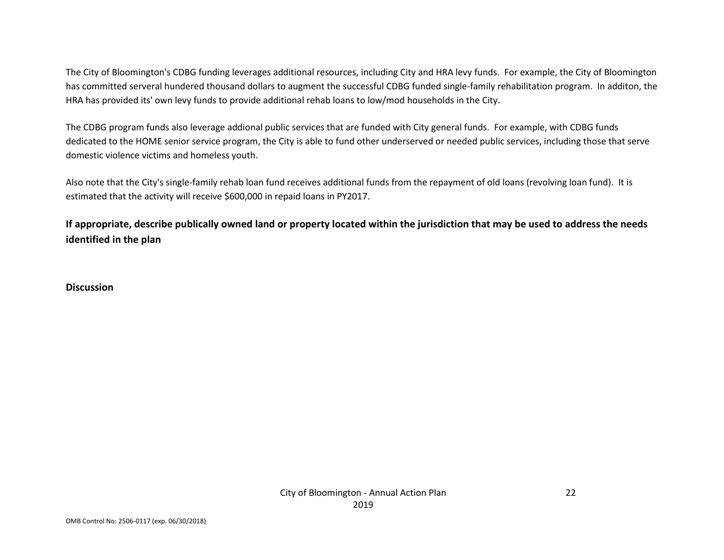The City of Bloomington's CDBG funding leverages additional resources, including City and HRA levy funds. For example, the City of Bloomington has committed serveral hundered thousand dollars to augment the successful CDBG funded single-family rehabilitation program. In additon, the HRA has provided its' own levy funds to provide additional rehab loans to low/mod households in the City.

The CDBG program funds also leverage addional public services that are funded with City general funds. For example, with CDBG funds dedicated to the HOME senior service program, the City is able to fund other underserved or needed public services, including those that serve domestic violence victims and homeless youth.

Also note that the City's single-family rehab loan fund receives additional funds from the repayment of old loans (revolving loan fund). It is estimated that the activity will receive \$600,000 in repaid loans in PY2017.

**If appropriate, describe publically owned land or property located within the jurisdiction that may be used to address the needs identified in the plan**

**Discussion**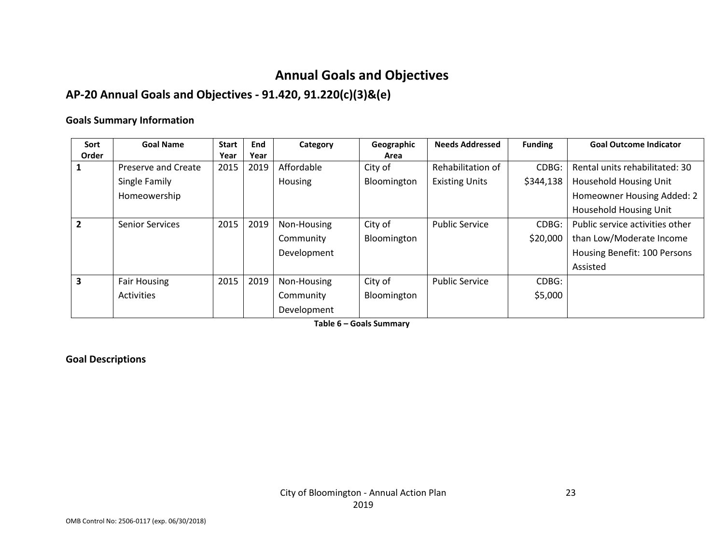## **Annual Goals and Objectives**

## **AP-20 Annual Goals and Objectives - 91.420, 91.220(c)(3)&(e)**

#### **Goals Summary Information**

| Sort           | <b>Goal Name</b>       | <b>Start</b> | End  | Category    | Geographic  | <b>Needs Addressed</b> | <b>Funding</b> | <b>Goal Outcome Indicator</b>   |
|----------------|------------------------|--------------|------|-------------|-------------|------------------------|----------------|---------------------------------|
| Order          |                        | Year         | Year |             | Area        |                        |                |                                 |
|                | Preserve and Create    | 2015         | 2019 | Affordable  | City of     | Rehabilitation of      | CDBG:          | Rental units rehabilitated: 30  |
|                | Single Family          |              |      | Housing     | Bloomington | <b>Existing Units</b>  | \$344,138      | <b>Household Housing Unit</b>   |
|                | Homeowership           |              |      |             |             |                        |                | Homeowner Housing Added: 2      |
|                |                        |              |      |             |             |                        |                | <b>Household Housing Unit</b>   |
| $\overline{2}$ | <b>Senior Services</b> | 2015         | 2019 | Non-Housing | City of     | <b>Public Service</b>  | CDBG:          | Public service activities other |
|                |                        |              |      | Community   | Bloomington |                        | \$20,000       | than Low/Moderate Income        |
|                |                        |              |      | Development |             |                        |                | Housing Benefit: 100 Persons    |
|                |                        |              |      |             |             |                        |                | Assisted                        |
| 3              | <b>Fair Housing</b>    | 2015         | 2019 | Non-Housing | City of     | <b>Public Service</b>  | CDBG:          |                                 |
|                | <b>Activities</b>      |              |      | Community   | Bloomington |                        | \$5,000        |                                 |
|                |                        |              |      | Development |             |                        |                |                                 |

**Table 6 – Goals Summary**

## **Goal Descriptions**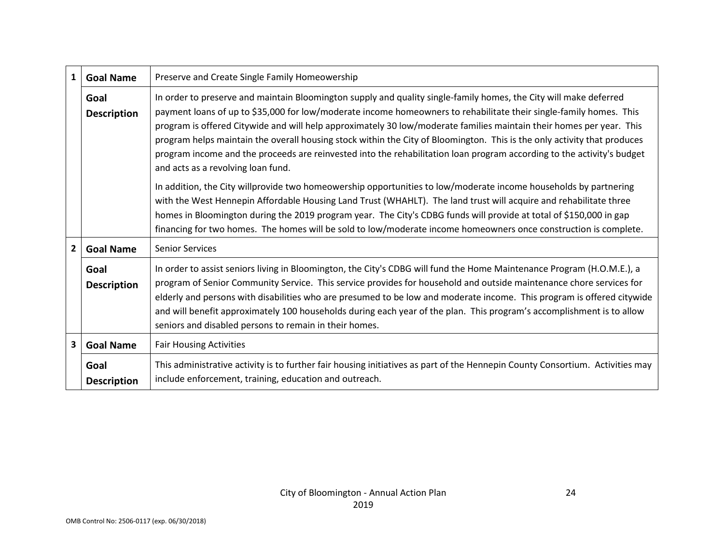| $\mathbf{1}$ | <b>Goal Name</b>           | Preserve and Create Single Family Homeowership                                                                                                                                                                                                                                                                                                                                                                                                                                                                                                                                                                                                              |  |  |  |  |  |  |
|--------------|----------------------------|-------------------------------------------------------------------------------------------------------------------------------------------------------------------------------------------------------------------------------------------------------------------------------------------------------------------------------------------------------------------------------------------------------------------------------------------------------------------------------------------------------------------------------------------------------------------------------------------------------------------------------------------------------------|--|--|--|--|--|--|
|              | Goal<br><b>Description</b> | In order to preserve and maintain Bloomington supply and quality single-family homes, the City will make deferred<br>payment loans of up to \$35,000 for low/moderate income homeowners to rehabilitate their single-family homes. This<br>program is offered Citywide and will help approximately 30 low/moderate families maintain their homes per year. This<br>program helps maintain the overall housing stock within the City of Bloomington. This is the only activity that produces<br>program income and the proceeds are reinvested into the rehabilitation loan program according to the activity's budget<br>and acts as a revolving loan fund. |  |  |  |  |  |  |
|              |                            | In addition, the City willprovide two homeowership opportunities to low/moderate income households by partnering<br>with the West Hennepin Affordable Housing Land Trust (WHAHLT). The land trust will acquire and rehabilitate three<br>homes in Bloomington during the 2019 program year. The City's CDBG funds will provide at total of \$150,000 in gap<br>financing for two homes. The homes will be sold to low/moderate income homeowners once construction is complete.                                                                                                                                                                             |  |  |  |  |  |  |
| $\mathbf{2}$ | <b>Goal Name</b>           | <b>Senior Services</b>                                                                                                                                                                                                                                                                                                                                                                                                                                                                                                                                                                                                                                      |  |  |  |  |  |  |
|              | Goal<br><b>Description</b> | In order to assist seniors living in Bloomington, the City's CDBG will fund the Home Maintenance Program (H.O.M.E.), a<br>program of Senior Community Service. This service provides for household and outside maintenance chore services for<br>elderly and persons with disabilities who are presumed to be low and moderate income. This program is offered citywide<br>and will benefit approximately 100 households during each year of the plan. This program's accomplishment is to allow<br>seniors and disabled persons to remain in their homes.                                                                                                  |  |  |  |  |  |  |
| 3            | <b>Goal Name</b>           | <b>Fair Housing Activities</b>                                                                                                                                                                                                                                                                                                                                                                                                                                                                                                                                                                                                                              |  |  |  |  |  |  |
|              | Goal<br><b>Description</b> | This administrative activity is to further fair housing initiatives as part of the Hennepin County Consortium. Activities may<br>include enforcement, training, education and outreach.                                                                                                                                                                                                                                                                                                                                                                                                                                                                     |  |  |  |  |  |  |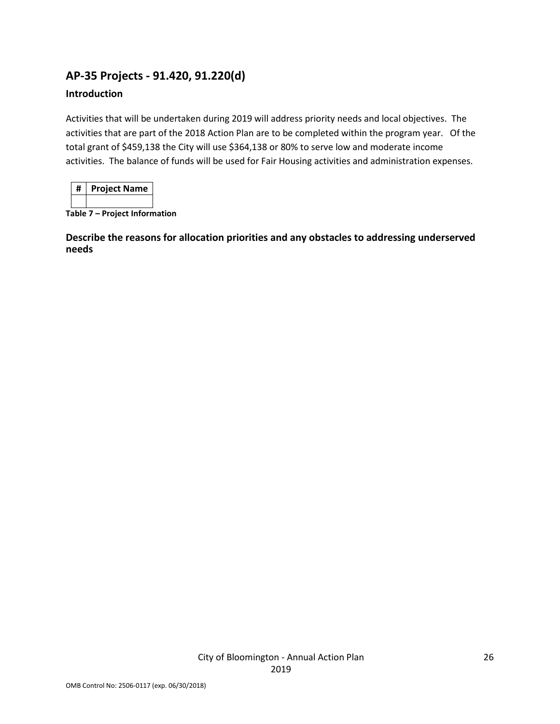## **AP-35 Projects - 91.420, 91.220(d)**

## **Introduction**

Activities that will be undertaken during 2019 will address priority needs and local objectives. The activities that are part of the 2018 Action Plan are to be completed within the program year. Of the total grant of \$459,138 the City will use \$364,138 or 80% to serve low and moderate income activities. The balance of funds will be used for Fair Housing activities and administration expenses.

| <b>Project Name</b> |
|---------------------|
|                     |

**Table 7 – Project Information**

**Describe the reasons for allocation priorities and any obstacles to addressing underserved needs**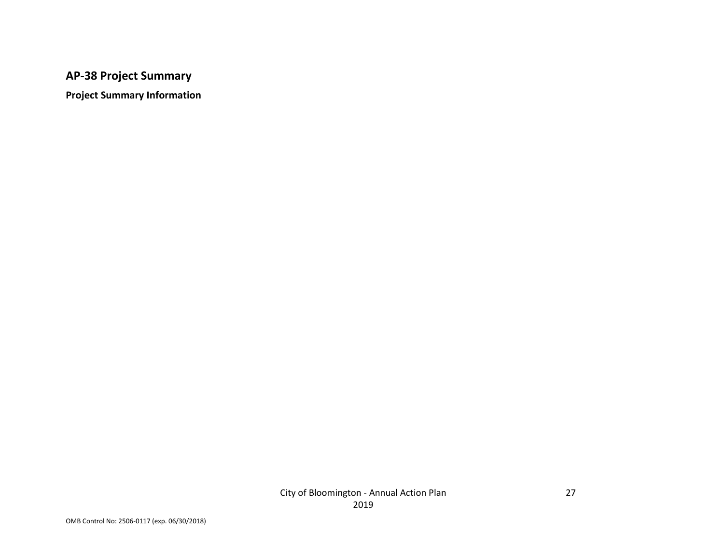## **AP-38 Project Summary**

**Project Summary Information**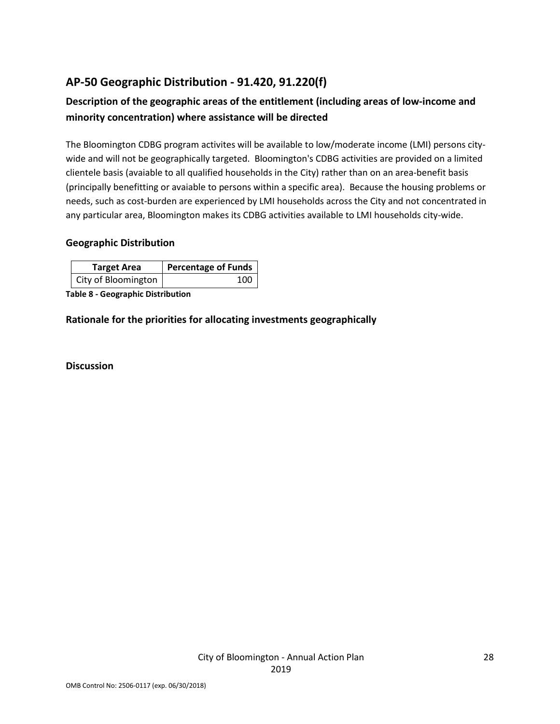## **AP-50 Geographic Distribution - 91.420, 91.220(f)**

## **Description of the geographic areas of the entitlement (including areas of low-income and minority concentration) where assistance will be directed**

The Bloomington CDBG program activites will be available to low/moderate income (LMI) persons citywide and will not be geographically targeted. Bloomington's CDBG activities are provided on a limited clientele basis (avaiable to all qualified households in the City) rather than on an area-benefit basis (principally benefitting or avaiable to persons within a specific area). Because the housing problems or needs, such as cost-burden are experienced by LMI households across the City and not concentrated in any particular area, Bloomington makes its CDBG activities available to LMI households city-wide.

#### **Geographic Distribution**

| <b>Target Area</b>  | Percentage of Funds |
|---------------------|---------------------|
| City of Bloomington | 100                 |

**Table 8 - Geographic Distribution** 

**Rationale for the priorities for allocating investments geographically** 

**Discussion**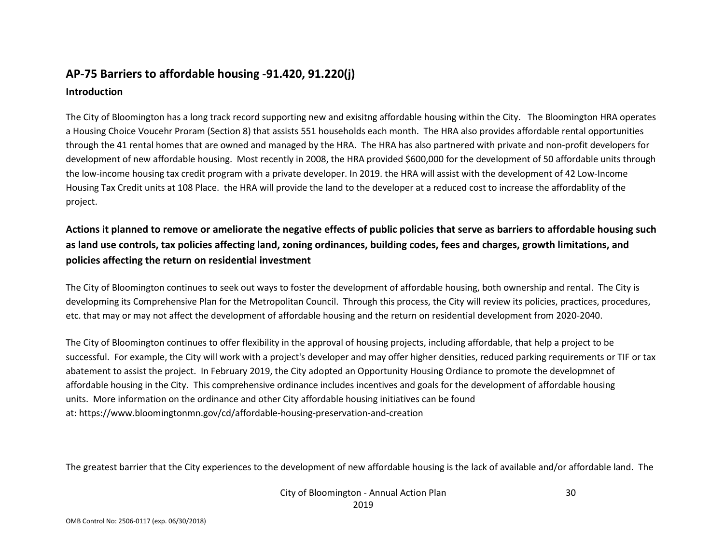## **AP-75 Barriers to affordable housing -91.420, 91.220(j) Introduction**

The City of Bloomington has a long track record supporting new and exisitng affordable housing within the City. The Bloomington HRA operates a Housing Choice Voucehr Proram (Section 8) that assists 551 households each month. The HRA also provides affordable rental opportunities through the 41 rental homes that are owned and managed by the HRA. The HRA has also partnered with private and non-profit developers for development of new affordable housing. Most recently in 2008, the HRA provided \$600,000 for the development of 50 affordable units through the low-income housing tax credit program with a private developer. In 2019. the HRA will assist with the development of 42 Low-Income Housing Tax Credit units at 108 Place. the HRA will provide the land to the developer at a reduced cost to increase the affordablity of the project.

**Actions it planned to remove or ameliorate the negative effects of public policies that serve as barriers to affordable housing such as land use controls, tax policies affecting land, zoning ordinances, building codes, fees and charges, growth limitations, and policies affecting the return on residential investment**

The City of Bloomington continues to seek out ways to foster the development of affordable housing, both ownership and rental. The City is developming its Comprehensive Plan for the Metropolitan Council. Through this process, the City will review its policies, practices, procedures, etc. that may or may not affect the development of affordable housing and the return on residential development from 2020-2040.

The City of Bloomington continues to offer flexibility in the approval of housing projects, including affordable, that help a project to be successful. For example, the City will work with a project's developer and may offer higher densities, reduced parking requirements or TIF or tax abatement to assist the project. In February 2019, the City adopted an Opportunity Housing Ordiance to promote the developmnet of affordable housing in the City. This comprehensive ordinance includes incentives and goals for the development of affordable housing units. More information on the ordinance and other City affordable housing initiatives can be found at: https://www.bloomingtonmn.gov/cd/affordable-housing-preservation-and-creation

The greatest barrier that the City experiences to the development of new affordable housing is the lack of available and/or affordable land. The

City of Bloomington - Annual Action Plan 2019

30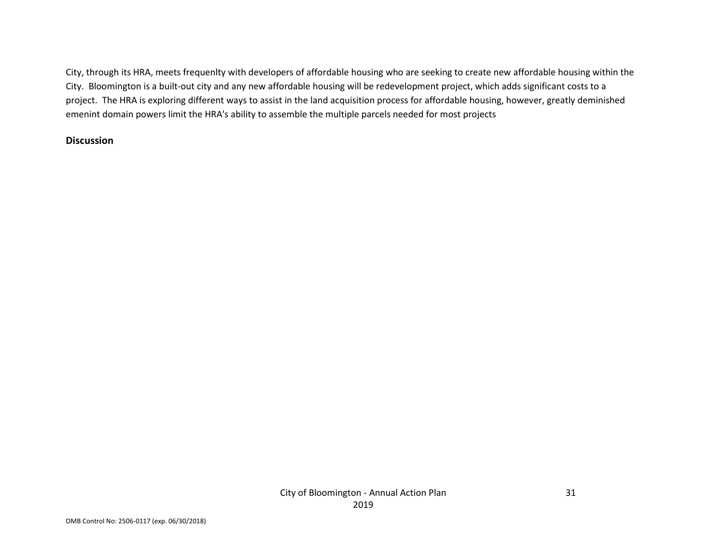City, through its HRA, meets frequenlty with developers of affordable housing who are seeking to create new affordable housing within the City. Bloomington is a built-out city and any new affordable housing will be redevelopment project, which adds significant costs to a project. The HRA is exploring different ways to assist in the land acquisition process for affordable housing, however, greatly deminished emenint domain powers limit the HRA's ability to assemble the multiple parcels needed for most projects

#### **Discussion**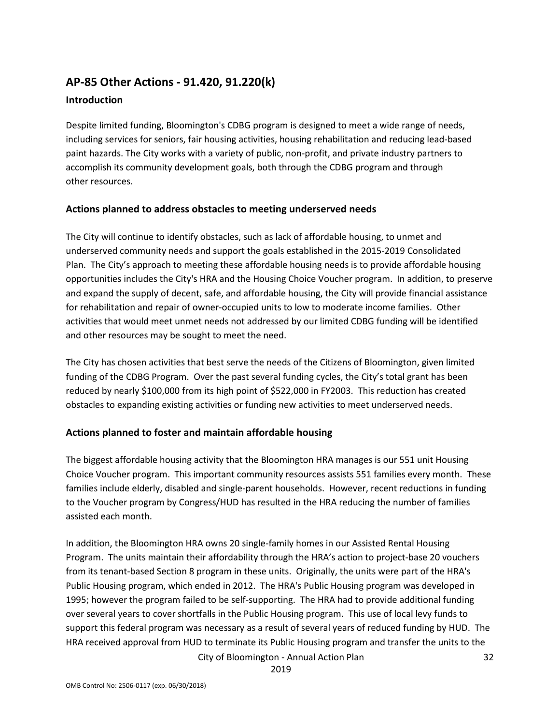## **AP-85 Other Actions - 91.420, 91.220(k)**

#### **Introduction**

Despite limited funding, Bloomington's CDBG program is designed to meet a wide range of needs, including services for seniors, fair housing activities, housing rehabilitation and reducing lead-based paint hazards. The City works with a variety of public, non-profit, and private industry partners to accomplish its community development goals, both through the CDBG program and through other resources.

#### **Actions planned to address obstacles to meeting underserved needs**

The City will continue to identify obstacles, such as lack of affordable housing, to unmet and underserved community needs and support the goals established in the 2015-2019 Consolidated Plan. The City's approach to meeting these affordable housing needs is to provide affordable housing opportunities includes the City's HRA and the Housing Choice Voucher program. In addition, to preserve and expand the supply of decent, safe, and affordable housing, the City will provide financial assistance for rehabilitation and repair of owner-occupied units to low to moderate income families. Other activities that would meet unmet needs not addressed by our limited CDBG funding will be identified and other resources may be sought to meet the need.

The City has chosen activities that best serve the needs of the Citizens of Bloomington, given limited funding of the CDBG Program. Over the past several funding cycles, the City's total grant has been reduced by nearly \$100,000 from its high point of \$522,000 in FY2003. This reduction has created obstacles to expanding existing activities or funding new activities to meet underserved needs.

## **Actions planned to foster and maintain affordable housing**

The biggest affordable housing activity that the Bloomington HRA manages is our 551 unit Housing Choice Voucher program. This important community resources assists 551 families every month. These families include elderly, disabled and single-parent households. However, recent reductions in funding to the Voucher program by Congress/HUD has resulted in the HRA reducing the number of families assisted each month.

In addition, the Bloomington HRA owns 20 single-family homes in our Assisted Rental Housing Program. The units maintain their affordability through the HRA's action to project-base 20 vouchers from its tenant-based Section 8 program in these units. Originally, the units were part of the HRA's Public Housing program, which ended in 2012. The HRA's Public Housing program was developed in 1995; however the program failed to be self-supporting. The HRA had to provide additional funding over several years to cover shortfalls in the Public Housing program. This use of local levy funds to support this federal program was necessary as a result of several years of reduced funding by HUD. The HRA received approval from HUD to terminate its Public Housing program and transfer the units to the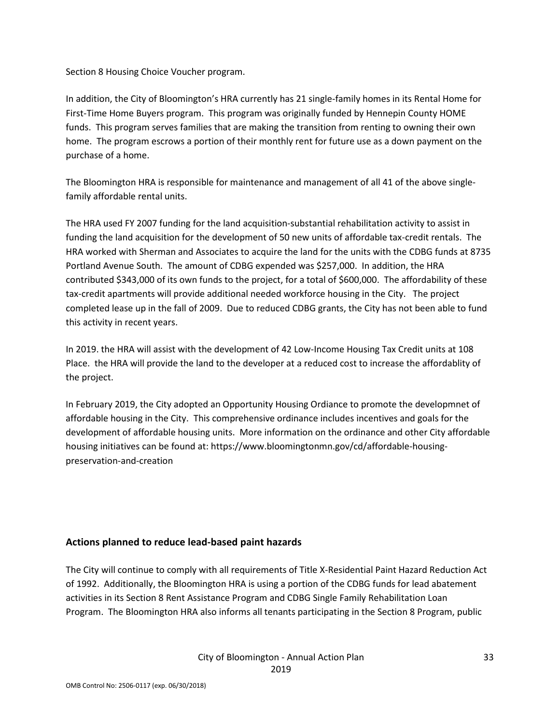Section 8 Housing Choice Voucher program.

In addition, the City of Bloomington's HRA currently has 21 single-family homes in its Rental Home for First-Time Home Buyers program. This program was originally funded by Hennepin County HOME funds. This program serves families that are making the transition from renting to owning their own home. The program escrows a portion of their monthly rent for future use as a down payment on the purchase of a home.

The Bloomington HRA is responsible for maintenance and management of all 41 of the above singlefamily affordable rental units.

The HRA used FY 2007 funding for the land acquisition-substantial rehabilitation activity to assist in funding the land acquisition for the development of 50 new units of affordable tax-credit rentals. The HRA worked with Sherman and Associates to acquire the land for the units with the CDBG funds at 8735 Portland Avenue South. The amount of CDBG expended was \$257,000. In addition, the HRA contributed \$343,000 of its own funds to the project, for a total of \$600,000. The affordability of these tax-credit apartments will provide additional needed workforce housing in the City. The project completed lease up in the fall of 2009. Due to reduced CDBG grants, the City has not been able to fund this activity in recent years.

In 2019. the HRA will assist with the development of 42 Low-Income Housing Tax Credit units at 108 Place. the HRA will provide the land to the developer at a reduced cost to increase the affordablity of the project.

In February 2019, the City adopted an Opportunity Housing Ordiance to promote the developmnet of affordable housing in the City. This comprehensive ordinance includes incentives and goals for the development of affordable housing units. More information on the ordinance and other City affordable housing initiatives can be found at: https://www.bloomingtonmn.gov/cd/affordable-housingpreservation-and-creation

## **Actions planned to reduce lead-based paint hazards**

The City will continue to comply with all requirements of Title X-Residential Paint Hazard Reduction Act of 1992. Additionally, the Bloomington HRA is using a portion of the CDBG funds for lead abatement activities in its Section 8 Rent Assistance Program and CDBG Single Family Rehabilitation Loan Program. The Bloomington HRA also informs all tenants participating in the Section 8 Program, public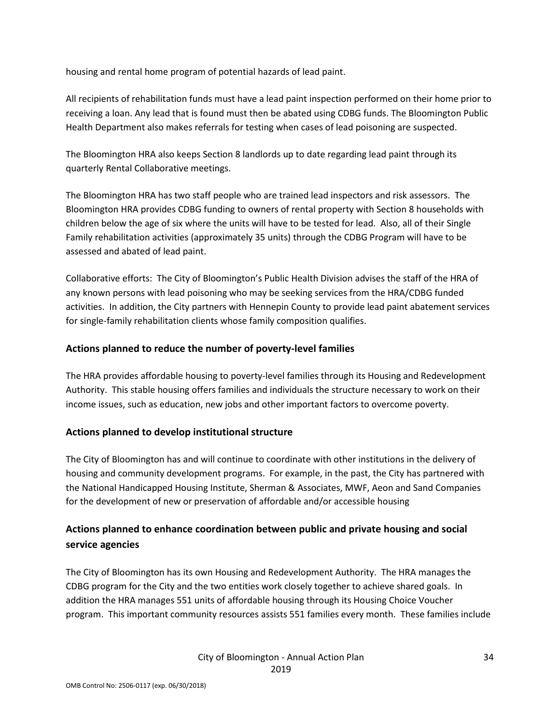housing and rental home program of potential hazards of lead paint.

All recipients of rehabilitation funds must have a lead paint inspection performed on their home prior to receiving a loan. Any lead that is found must then be abated using CDBG funds. The Bloomington Public Health Department also makes referrals for testing when cases of lead poisoning are suspected.

The Bloomington HRA also keeps Section 8 landlords up to date regarding lead paint through its quarterly Rental Collaborative meetings.

The Bloomington HRA has two staff people who are trained lead inspectors and risk assessors. The Bloomington HRA provides CDBG funding to owners of rental property with Section 8 households with children below the age of six where the units will have to be tested for lead. Also, all of their Single Family rehabilitation activities (approximately 35 units) through the CDBG Program will have to be assessed and abated of lead paint.

Collaborative efforts: The City of Bloomington's Public Health Division advises the staff of the HRA of any known persons with lead poisoning who may be seeking services from the HRA/CDBG funded activities. In addition, the City partners with Hennepin County to provide lead paint abatement services for single-family rehabilitation clients whose family composition qualifies.

## **Actions planned to reduce the number of poverty-level families**

The HRA provides affordable housing to poverty-level families through its Housing and Redevelopment Authority. This stable housing offers families and individuals the structure necessary to work on their income issues, such as education, new jobs and other important factors to overcome poverty.

## **Actions planned to develop institutional structure**

The City of Bloomington has and will continue to coordinate with other institutions in the delivery of housing and community development programs. For example, in the past, the City has partnered with the National Handicapped Housing Institute, Sherman & Associates, MWF, Aeon and Sand Companies for the development of new or preservation of affordable and/or accessible housing

## **Actions planned to enhance coordination between public and private housing and social service agencies**

The City of Bloomington has its own Housing and Redevelopment Authority. The HRA manages the CDBG program for the City and the two entities work closely together to achieve shared goals. In addition the HRA manages 551 units of affordable housing through its Housing Choice Voucher program. This important community resources assists 551 families every month. These families include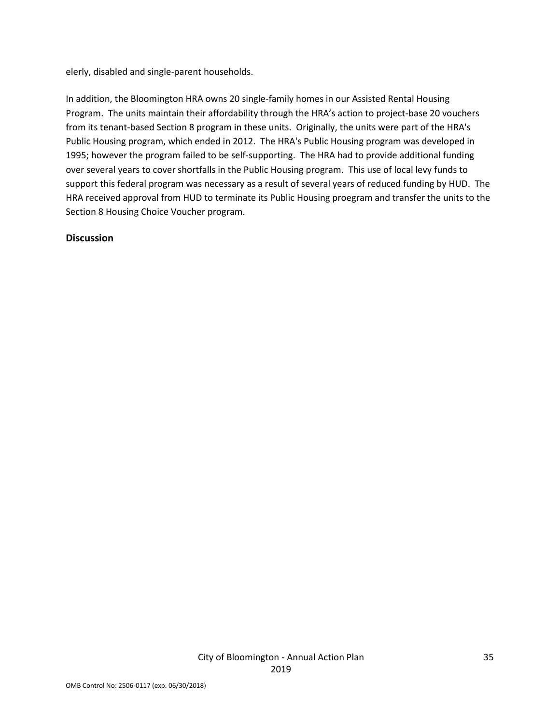elerly, disabled and single-parent households.

In addition, the Bloomington HRA owns 20 single-family homes in our Assisted Rental Housing Program. The units maintain their affordability through the HRA's action to project-base 20 vouchers from its tenant-based Section 8 program in these units. Originally, the units were part of the HRA's Public Housing program, which ended in 2012. The HRA's Public Housing program was developed in 1995; however the program failed to be self-supporting. The HRA had to provide additional funding over several years to cover shortfalls in the Public Housing program. This use of local levy funds to support this federal program was necessary as a result of several years of reduced funding by HUD. The HRA received approval from HUD to terminate its Public Housing proegram and transfer the units to the Section 8 Housing Choice Voucher program.

#### **Discussion**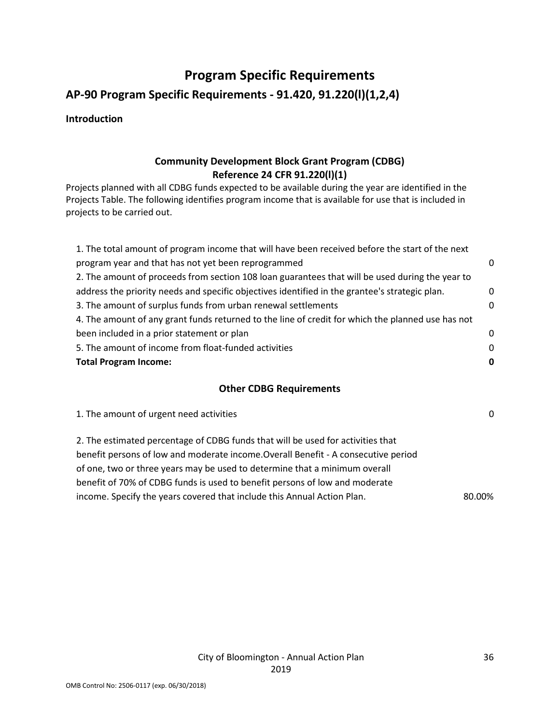## **Program Specific Requirements**

## **AP-90 Program Specific Requirements - 91.420, 91.220(l)(1,2,4)**

#### **Introduction**

## **Community Development Block Grant Program (CDBG) Reference 24 CFR 91.220(l)(1)**

Projects planned with all CDBG funds expected to be available during the year are identified in the Projects Table. The following identifies program income that is available for use that is included in projects to be carried out.

| 1. The total amount of program income that will have been received before the start of the next   |             |
|---------------------------------------------------------------------------------------------------|-------------|
| program year and that has not yet been reprogrammed                                               | 0           |
| 2. The amount of proceeds from section 108 loan guarantees that will be used during the year to   |             |
| address the priority needs and specific objectives identified in the grantee's strategic plan.    | $\mathbf 0$ |
| 3. The amount of surplus funds from urban renewal settlements                                     | 0           |
| 4. The amount of any grant funds returned to the line of credit for which the planned use has not |             |
| been included in a prior statement or plan                                                        | 0           |
| 5. The amount of income from float-funded activities                                              | 0           |
| <b>Total Program Income:</b>                                                                      | 0           |
|                                                                                                   |             |

#### **Other CDBG Requirements**

| 1. The amount of urgent need activities                                            | $\Omega$ |
|------------------------------------------------------------------------------------|----------|
| 2. The estimated percentage of CDBG funds that will be used for activities that    |          |
| benefit persons of low and moderate income. Overall Benefit - A consecutive period |          |
| of one, two or three years may be used to determine that a minimum overall         |          |
| benefit of 70% of CDBG funds is used to benefit persons of low and moderate        |          |
| income. Specify the years covered that include this Annual Action Plan.            | 80.00%   |